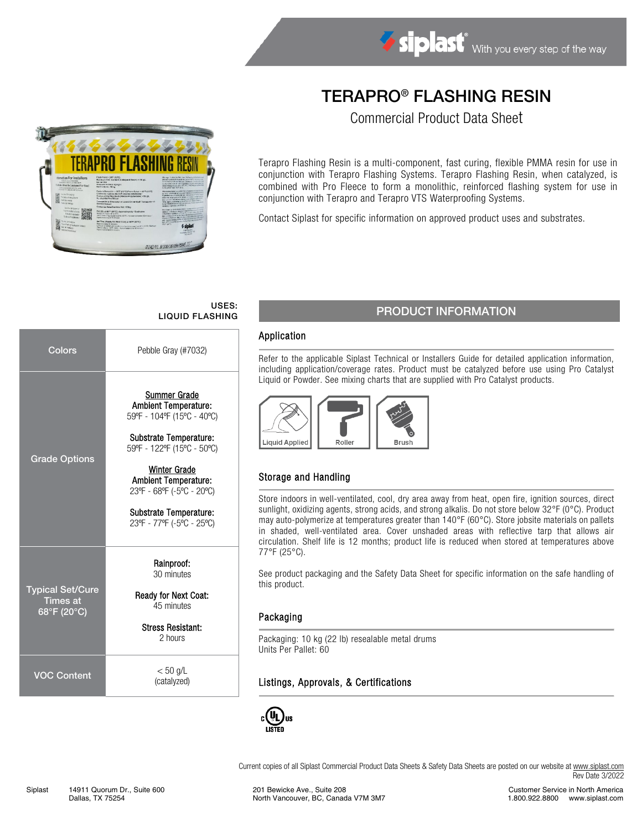# TERAPRO® FLASHING RESIN

Commercial Product Data Sheet



## USES:

| Colors                                                    | Pebble Gray (#7032)                                                                                                                                                                                                                                                         |  |  |  |  |
|-----------------------------------------------------------|-----------------------------------------------------------------------------------------------------------------------------------------------------------------------------------------------------------------------------------------------------------------------------|--|--|--|--|
| <b>Grade Options</b>                                      | Summer Grade<br><b>Ambient Temperature:</b><br>59°F - 104°F (15°C - 40°C)<br>Substrate Temperature:<br>59°F - 122°F (15°C - 50°C)<br><b>Winter Grade</b><br><b>Ambient Temperature:</b><br>23°F - 68°F (-5°C - 20°C)<br>Substrate Temperature:<br>23°F - 77°F (-5°C - 25°C) |  |  |  |  |
| <b>Typical Set/Cure</b><br><b>Times at</b><br>68°F (20°C) | Rainproof:<br>30 minutes<br>Ready for Next Coat:<br>45 minutes<br><b>Stress Resistant:</b><br>2 hours                                                                                                                                                                       |  |  |  |  |
| <b>VOC Content</b>                                        | $< 50$ g/L<br>(catalyzed)                                                                                                                                                                                                                                                   |  |  |  |  |

## USES:<br>LIQUID FLASHING PRODUCT INFORMATION

#### Application

Refer to the applicable Siplast Technical or Installers Guide for detailed application information, including application/coverage rates. Product must be catalyzed before use using Pro Catalyst Liquid or Powder. See mixing charts that are supplied with Pro Catalyst products.



## Storage and Handling

Store indoors in well-ventilated, cool, dry area away from heat, open fire, ignition sources, direct sunlight, oxidizing agents, strong acids, and strong alkalis. Do not store below 32°F (0°C). Product may auto-polymerize at temperatures greater than 140°F (60°C). Store jobsite materials on pallets in shaded, well-ventilated area. Cover unshaded areas with reflective tarp that allows air circulation. Shelf life is 12 months; product life is reduced when stored at temperatures above 77°F (25°C).

See product packaging and the Safety Data Sheet for specific information on the safe handling of this product.

#### Packaging

Packaging: 10 kg (22 lb) resealable metal drums Units Per Pallet: 60

#### Listings, Approvals, & Certifications



Current copies of all Siplast Commercial Product Data Sheets & Safety Data Sheets are posted on our website a[t www.siplast.com](http://www.siplast.com/) Rev Date 3/2022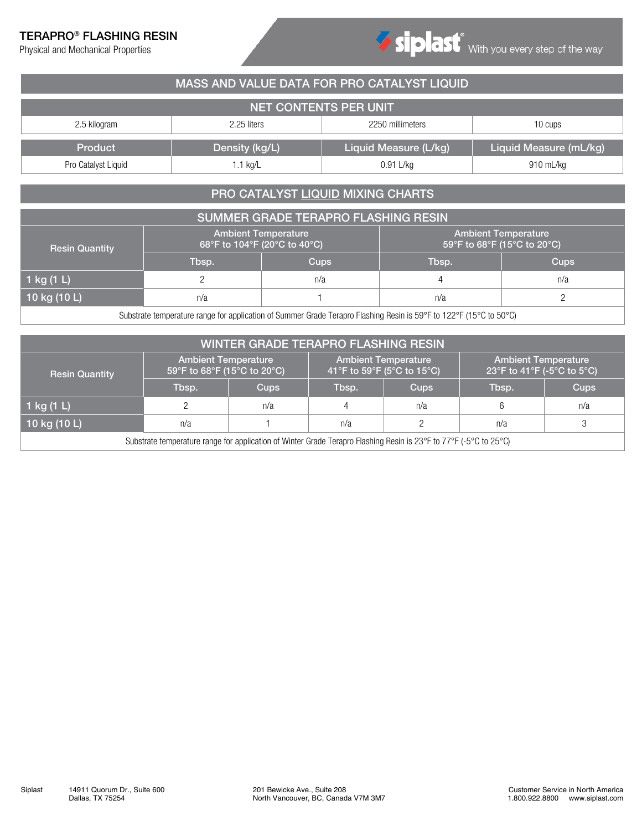## TERAPRO® FLASHING RESIN

Physical and Mechanical Properties



| MASS AND VALUE DATA FOR PRO CATALYST LIQUID                                  |  |  |  |  |  |  |  |  |  |  |
|------------------------------------------------------------------------------|--|--|--|--|--|--|--|--|--|--|
| NET CONTENTS PER UNIT                                                        |  |  |  |  |  |  |  |  |  |  |
| 2250 millimeters<br>2.5 kilogram<br>2.25 liters<br>10 cups                   |  |  |  |  |  |  |  |  |  |  |
| Liquid Measure (mL/kg)<br>Liquid Measure (L/kg)<br>Density (kg/L)<br>Product |  |  |  |  |  |  |  |  |  |  |
| $0.91$ L/kg<br>Pro Catalyst Liquid<br>910 mL/kg<br>$.1$ kg/L                 |  |  |  |  |  |  |  |  |  |  |

## PRO CATALYST LIQUID MIXING CHARTS

| SUMMER GRADE TERAPRO FLASHING RESIN |                              |                            |                                                           |             |  |  |  |  |  |
|-------------------------------------|------------------------------|----------------------------|-----------------------------------------------------------|-------------|--|--|--|--|--|
| <b>Resin Quantity</b>               | 68°F to 104°F (20°C to 40°C) | <b>Ambient Temperature</b> | <b>Ambient Temperature</b><br>59°F to 68°F (15°C to 20°C) |             |  |  |  |  |  |
|                                     | Tbsp.                        | <b>Cups</b>                | Tbsp.                                                     | <b>Cups</b> |  |  |  |  |  |
| 1 kg (1 L)                          |                              | n/a                        |                                                           | n/a         |  |  |  |  |  |
| 10 kg $(10 L)$                      | n/a                          | n/a                        |                                                           |             |  |  |  |  |  |
| _______<br>_ _ _ _                  |                              |                            |                                                           |             |  |  |  |  |  |

Substrate temperature range for application of Summer Grade Terapro Flashing Resin is 59°F to 122°F (15°C to 50°C)

| <b>WINTER GRADE TERAPRO FLASHING RESIN</b>                                                                        |                                                           |             |                            |                            |                                                          |      |  |  |  |
|-------------------------------------------------------------------------------------------------------------------|-----------------------------------------------------------|-------------|----------------------------|----------------------------|----------------------------------------------------------|------|--|--|--|
| <b>Resin Quantity</b>                                                                                             | <b>Ambient Temperature</b><br>59°F to 68°F (15°C to 20°C) |             | 41°F to 59°F (5°C to 15°C) | <b>Ambient Temperature</b> | <b>Ambient Temperature</b><br>23°F to 41°F (-5°C to 5°C) |      |  |  |  |
|                                                                                                                   | Tbsp.                                                     | <b>Cups</b> | <b>Cups</b><br>Tbsp.       |                            | Tbsp.                                                    | Cups |  |  |  |
| 1 kg (1 L)                                                                                                        |                                                           | n/a         | 4                          | n/a                        | 6                                                        | n/a  |  |  |  |
| 10 kg $(10 L)$                                                                                                    | n/a                                                       |             | n/a                        |                            | n/a                                                      | 3    |  |  |  |
| Substrate temperature range for application of Winter Grade Terapro Flashing Resin is 23°F to 77°F (-5°C to 25°C) |                                                           |             |                            |                            |                                                          |      |  |  |  |